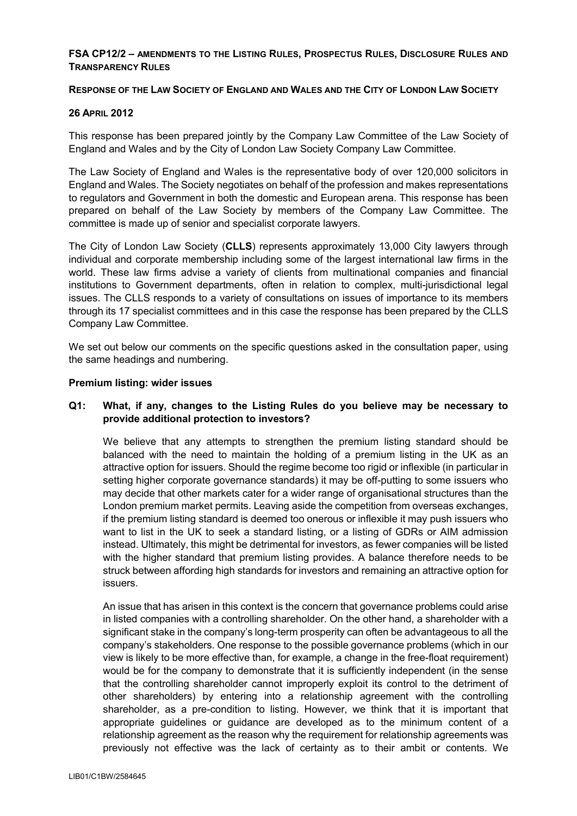### **FSA CP12/2 – AMENDMENTS TO THE LISTING RULES, PROSPECTUS RULES, DISCLOSURE RULES AND TRANSPARENCY RULES**

#### **RESPONSE OF THE LAW SOCIETY OF ENGLAND AND WALES AND THE CITY OF LONDON LAW SOCIETY**

### **26 APRIL 2012**

This response has been prepared jointly by the Company Law Committee of the Law Society of England and Wales and by the City of London Law Society Company Law Committee.

The Law Society of England and Wales is the representative body of over 120,000 solicitors in England and Wales. The Society negotiates on behalf of the profession and makes representations to regulators and Government in both the domestic and European arena. This response has been prepared on behalf of the Law Society by members of the Company Law Committee. The committee is made up of senior and specialist corporate lawyers.

The City of London Law Society (**CLLS**) represents approximately 13,000 City lawyers through individual and corporate membership including some of the largest international law firms in the world. These law firms advise a variety of clients from multinational companies and financial institutions to Government departments, often in relation to complex, multi-jurisdictional legal issues. The CLLS responds to a variety of consultations on issues of importance to its members through its 17 specialist committees and in this case the response has been prepared by the CLLS Company Law Committee.

We set out below our comments on the specific questions asked in the consultation paper, using the same headings and numbering.

#### **Premium listing: wider issues**

### **Q1: What, if any, changes to the Listing Rules do you believe may be necessary to provide additional protection to investors?**

We believe that any attempts to strengthen the premium listing standard should be balanced with the need to maintain the holding of a premium listing in the UK as an attractive option for issuers. Should the regime become too rigid or inflexible (in particular in setting higher corporate governance standards) it may be off-putting to some issuers who may decide that other markets cater for a wider range of organisational structures than the London premium market permits. Leaving aside the competition from overseas exchanges, if the premium listing standard is deemed too onerous or inflexible it may push issuers who want to list in the UK to seek a standard listing, or a listing of GDRs or AIM admission instead. Ultimately, this might be detrimental for investors, as fewer companies will be listed with the higher standard that premium listing provides. A balance therefore needs to be struck between affording high standards for investors and remaining an attractive option for issuers.

An issue that has arisen in this context is the concern that governance problems could arise in listed companies with a controlling shareholder. On the other hand, a shareholder with a significant stake in the company's long-term prosperity can often be advantageous to all the company's stakeholders. One response to the possible governance problems (which in our view is likely to be more effective than, for example, a change in the free-float requirement) would be for the company to demonstrate that it is sufficiently independent (in the sense that the controlling shareholder cannot improperly exploit its control to the detriment of other shareholders) by entering into a relationship agreement with the controlling shareholder, as a pre-condition to listing. However, we think that it is important that appropriate guidelines or guidance are developed as to the minimum content of a relationship agreement as the reason why the requirement for relationship agreements was previously not effective was the lack of certainty as to their ambit or contents. We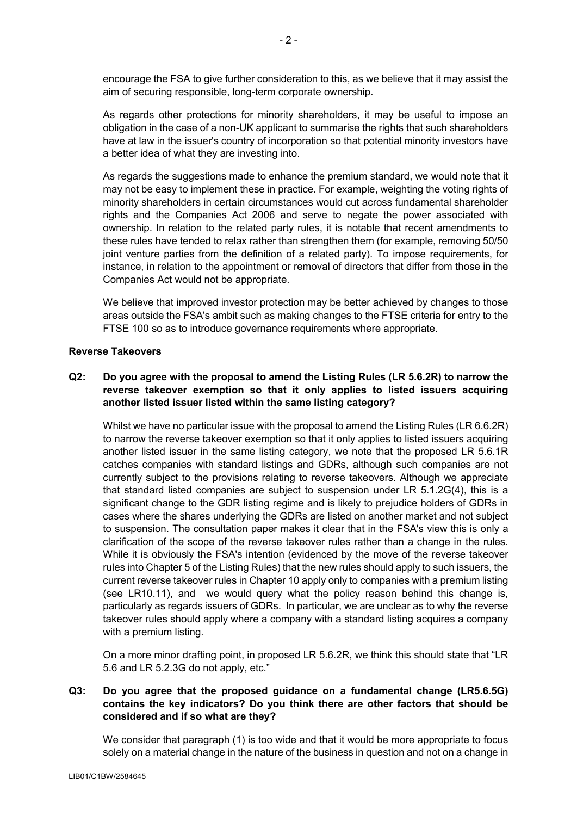encourage the FSA to give further consideration to this, as we believe that it may assist the aim of securing responsible, long-term corporate ownership.

As regards other protections for minority shareholders, it may be useful to impose an obligation in the case of a non-UK applicant to summarise the rights that such shareholders have at law in the issuer's country of incorporation so that potential minority investors have a better idea of what they are investing into.

As regards the suggestions made to enhance the premium standard, we would note that it may not be easy to implement these in practice. For example, weighting the voting rights of minority shareholders in certain circumstances would cut across fundamental shareholder rights and the Companies Act 2006 and serve to negate the power associated with ownership. In relation to the related party rules, it is notable that recent amendments to these rules have tended to relax rather than strengthen them (for example, removing 50/50 joint venture parties from the definition of a related party). To impose requirements, for instance, in relation to the appointment or removal of directors that differ from those in the Companies Act would not be appropriate.

We believe that improved investor protection may be better achieved by changes to those areas outside the FSA's ambit such as making changes to the FTSE criteria for entry to the FTSE 100 so as to introduce governance requirements where appropriate.

### **Reverse Takeovers**

# **Q2: Do you agree with the proposal to amend the Listing Rules (LR 5.6.2R) to narrow the reverse takeover exemption so that it only applies to listed issuers acquiring another listed issuer listed within the same listing category?**

Whilst we have no particular issue with the proposal to amend the Listing Rules (LR 6.6.2R) to narrow the reverse takeover exemption so that it only applies to listed issuers acquiring another listed issuer in the same listing category, we note that the proposed LR 5.6.1R catches companies with standard listings and GDRs, although such companies are not currently subject to the provisions relating to reverse takeovers. Although we appreciate that standard listed companies are subject to suspension under LR 5.1.2G(4), this is a significant change to the GDR listing regime and is likely to prejudice holders of GDRs in cases where the shares underlying the GDRs are listed on another market and not subject to suspension. The consultation paper makes it clear that in the FSA's view this is only a clarification of the scope of the reverse takeover rules rather than a change in the rules. While it is obviously the FSA's intention (evidenced by the move of the reverse takeover rules into Chapter 5 of the Listing Rules) that the new rules should apply to such issuers, the current reverse takeover rules in Chapter 10 apply only to companies with a premium listing (see LR10.11), and we would query what the policy reason behind this change is, particularly as regards issuers of GDRs. In particular, we are unclear as to why the reverse takeover rules should apply where a company with a standard listing acquires a company with a premium listing.

On a more minor drafting point, in proposed LR 5.6.2R, we think this should state that "LR 5.6 and LR 5.2.3G do not apply, etc."

## **Q3: Do you agree that the proposed guidance on a fundamental change (LR5.6.5G) contains the key indicators? Do you think there are other factors that should be considered and if so what are they?**

We consider that paragraph (1) is too wide and that it would be more appropriate to focus solely on a material change in the nature of the business in question and not on a change in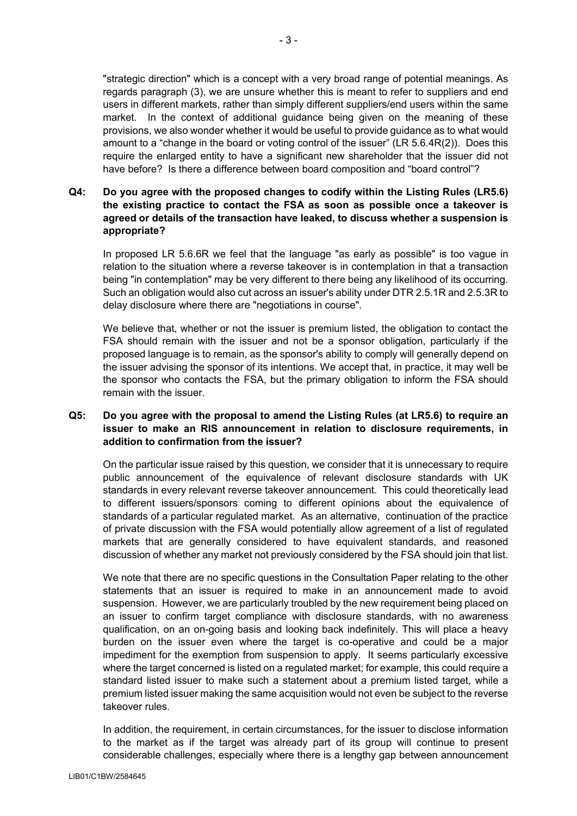"strategic direction" which is a concept with a very broad range of potential meanings. As regards paragraph (3), we are unsure whether this is meant to refer to suppliers and end users in different markets, rather than simply different suppliers/end users within the same market. In the context of additional guidance being given on the meaning of these provisions, we also wonder whether it would be useful to provide guidance as to what would amount to a "change in the board or voting control of the issuer" (LR 5.6.4R(2)). Does this

require the enlarged entity to have a significant new shareholder that the issuer did not

# **Q4: Do you agree with the proposed changes to codify within the Listing Rules (LR5.6) the existing practice to contact the FSA as soon as possible once a takeover is agreed or details of the transaction have leaked, to discuss whether a suspension is appropriate?**

have before? Is there a difference between board composition and "board control"?

In proposed LR 5.6.6R we feel that the language "as early as possible" is too vague in relation to the situation where a reverse takeover is in contemplation in that a transaction being "in contemplation" may be very different to there being any likelihood of its occurring. Such an obligation would also cut across an issuer's ability under DTR 2.5.1R and 2.5.3R to delay disclosure where there are "negotiations in course".

We believe that, whether or not the issuer is premium listed, the obligation to contact the FSA should remain with the issuer and not be a sponsor obligation, particularly if the proposed language is to remain, as the sponsor's ability to comply will generally depend on the issuer advising the sponsor of its intentions. We accept that, in practice, it may well be the sponsor who contacts the FSA, but the primary obligation to inform the FSA should remain with the issuer.

## **Q5: Do you agree with the proposal to amend the Listing Rules (at LR5.6) to require an issuer to make an RIS announcement in relation to disclosure requirements, in addition to confirmation from the issuer?**

On the particular issue raised by this question, we consider that it is unnecessary to require public announcement of the equivalence of relevant disclosure standards with UK standards in every relevant reverse takeover announcement. This could theoretically lead to different issuers/sponsors coming to different opinions about the equivalence of standards of a particular regulated market. As an alternative, continuation of the practice of private discussion with the FSA would potentially allow agreement of a list of regulated markets that are generally considered to have equivalent standards, and reasoned discussion of whether any market not previously considered by the FSA should join that list.

We note that there are no specific questions in the Consultation Paper relating to the other statements that an issuer is required to make in an announcement made to avoid suspension. However, we are particularly troubled by the new requirement being placed on an issuer to confirm target compliance with disclosure standards, with no awareness qualification, on an on-going basis and looking back indefinitely. This will place a heavy burden on the issuer even where the target is co-operative and could be a major impediment for the exemption from suspension to apply. It seems particularly excessive where the target concerned is listed on a regulated market; for example, this could require a standard listed issuer to make such a statement about a premium listed target, while a premium listed issuer making the same acquisition would not even be subject to the reverse takeover rules.

In addition, the requirement, in certain circumstances, for the issuer to disclose information to the market as if the target was already part of its group will continue to present considerable challenges, especially where there is a lengthy gap between announcement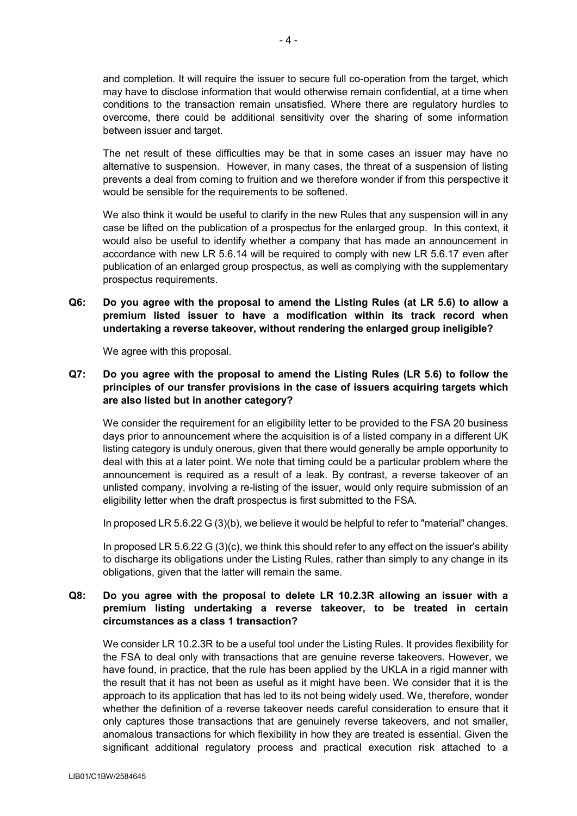and completion. It will require the issuer to secure full co-operation from the target, which may have to disclose information that would otherwise remain confidential, at a time when conditions to the transaction remain unsatisfied. Where there are regulatory hurdles to overcome, there could be additional sensitivity over the sharing of some information between issuer and target.

The net result of these difficulties may be that in some cases an issuer may have no alternative to suspension. However, in many cases, the threat of a suspension of listing prevents a deal from coming to fruition and we therefore wonder if from this perspective it would be sensible for the requirements to be softened.

We also think it would be useful to clarify in the new Rules that any suspension will in any case be lifted on the publication of a prospectus for the enlarged group. In this context, it would also be useful to identify whether a company that has made an announcement in accordance with new LR 5.6.14 will be required to comply with new LR 5.6.17 even after publication of an enlarged group prospectus, as well as complying with the supplementary prospectus requirements.

**Q6: Do you agree with the proposal to amend the Listing Rules (at LR 5.6) to allow a premium listed issuer to have a modification within its track record when undertaking a reverse takeover, without rendering the enlarged group ineligible?**

We agree with this proposal.

# **Q7: Do you agree with the proposal to amend the Listing Rules (LR 5.6) to follow the principles of our transfer provisions in the case of issuers acquiring targets which are also listed but in another category?**

We consider the requirement for an eligibility letter to be provided to the FSA 20 business days prior to announcement where the acquisition is of a listed company in a different UK listing category is unduly onerous, given that there would generally be ample opportunity to deal with this at a later point. We note that timing could be a particular problem where the announcement is required as a result of a leak. By contrast, a reverse takeover of an unlisted company, involving a re-listing of the issuer, would only require submission of an eligibility letter when the draft prospectus is first submitted to the FSA.

In proposed LR 5.6.22 G (3)(b), we believe it would be helpful to refer to "material" changes.

In proposed LR 5.6.22 G (3)(c), we think this should refer to any effect on the issuer's ability to discharge its obligations under the Listing Rules, rather than simply to any change in its obligations, given that the latter will remain the same.

## **Q8: Do you agree with the proposal to delete LR 10.2.3R allowing an issuer with a premium listing undertaking a reverse takeover, to be treated in certain circumstances as a class 1 transaction?**

We consider LR 10.2.3R to be a useful tool under the Listing Rules. It provides flexibility for the FSA to deal only with transactions that are genuine reverse takeovers. However, we have found, in practice, that the rule has been applied by the UKLA in a rigid manner with the result that it has not been as useful as it might have been. We consider that it is the approach to its application that has led to its not being widely used. We, therefore, wonder whether the definition of a reverse takeover needs careful consideration to ensure that it only captures those transactions that are genuinely reverse takeovers, and not smaller, anomalous transactions for which flexibility in how they are treated is essential. Given the significant additional regulatory process and practical execution risk attached to a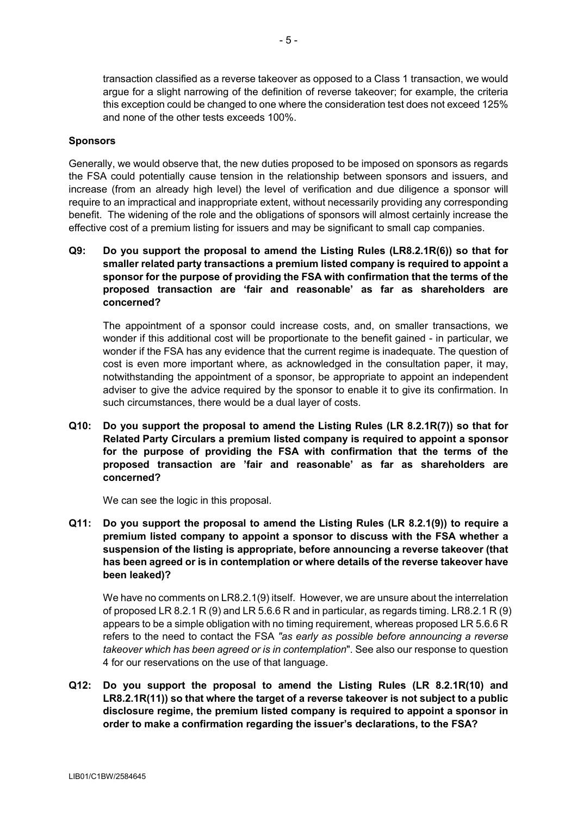transaction classified as a reverse takeover as opposed to a Class 1 transaction, we would argue for a slight narrowing of the definition of reverse takeover; for example, the criteria this exception could be changed to one where the consideration test does not exceed 125% and none of the other tests exceeds 100%.

### **Sponsors**

Generally, we would observe that, the new duties proposed to be imposed on sponsors as regards the FSA could potentially cause tension in the relationship between sponsors and issuers, and increase (from an already high level) the level of verification and due diligence a sponsor will require to an impractical and inappropriate extent, without necessarily providing any corresponding benefit. The widening of the role and the obligations of sponsors will almost certainly increase the effective cost of a premium listing for issuers and may be significant to small cap companies.

**Q9: Do you support the proposal to amend the Listing Rules (LR8.2.1R(6)) so that for smaller related party transactions a premium listed company is required to appoint a sponsor for the purpose of providing the FSA with confirmation that the terms of the proposed transaction are 'fair and reasonable' as far as shareholders are concerned?**

The appointment of a sponsor could increase costs, and, on smaller transactions, we wonder if this additional cost will be proportionate to the benefit gained - in particular, we wonder if the FSA has any evidence that the current regime is inadequate. The question of cost is even more important where, as acknowledged in the consultation paper, it may, notwithstanding the appointment of a sponsor, be appropriate to appoint an independent adviser to give the advice required by the sponsor to enable it to give its confirmation. In such circumstances, there would be a dual layer of costs.

**Q10: Do you support the proposal to amend the Listing Rules (LR 8.2.1R(7)) so that for Related Party Circulars a premium listed company is required to appoint a sponsor for the purpose of providing the FSA with confirmation that the terms of the proposed transaction are 'fair and reasonable' as far as shareholders are concerned?**

We can see the logic in this proposal.

**Q11: Do you support the proposal to amend the Listing Rules (LR 8.2.1(9)) to require a premium listed company to appoint a sponsor to discuss with the FSA whether a suspension of the listing is appropriate, before announcing a reverse takeover (that has been agreed or is in contemplation or where details of the reverse takeover have been leaked)?**

We have no comments on LR8.2.1(9) itself. However, we are unsure about the interrelation of proposed LR 8.2.1 R (9) and LR 5.6.6 R and in particular, as regards timing. LR8.2.1 R (9) appears to be a simple obligation with no timing requirement, whereas proposed LR 5.6.6 R refers to the need to contact the FSA *"as early as possible before announcing a reverse takeover which has been agreed or is in contemplation*". See also our response to question 4 for our reservations on the use of that language.

**Q12: Do you support the proposal to amend the Listing Rules (LR 8.2.1R(10) and LR8.2.1R(11)) so that where the target of a reverse takeover is not subject to a public disclosure regime, the premium listed company is required to appoint a sponsor in order to make a confirmation regarding the issuer's declarations, to the FSA?**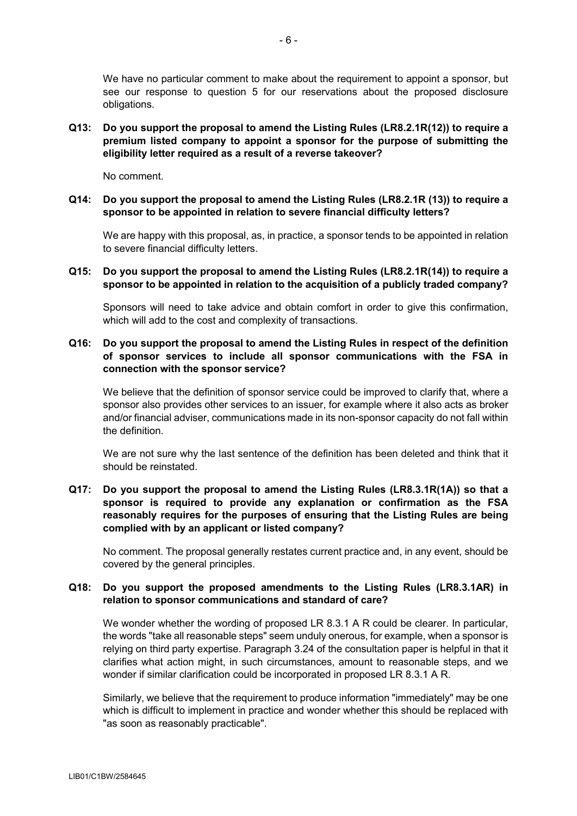We have no particular comment to make about the requirement to appoint a sponsor, but see our response to question 5 for our reservations about the proposed disclosure obligations.

**Q13: Do you support the proposal to amend the Listing Rules (LR8.2.1R(12)) to require a premium listed company to appoint a sponsor for the purpose of submitting the eligibility letter required as a result of a reverse takeover?**

No comment.

**Q14: Do you support the proposal to amend the Listing Rules (LR8.2.1R (13)) to require a sponsor to be appointed in relation to severe financial difficulty letters?**

We are happy with this proposal, as, in practice, a sponsor tends to be appointed in relation to severe financial difficulty letters.

**Q15: Do you support the proposal to amend the Listing Rules (LR8.2.1R(14)) to require a sponsor to be appointed in relation to the acquisition of a publicly traded company?**

Sponsors will need to take advice and obtain comfort in order to give this confirmation, which will add to the cost and complexity of transactions.

## **Q16: Do you support the proposal to amend the Listing Rules in respect of the definition of sponsor services to include all sponsor communications with the FSA in connection with the sponsor service?**

We believe that the definition of sponsor service could be improved to clarify that, where a sponsor also provides other services to an issuer, for example where it also acts as broker and/or financial adviser, communications made in its non-sponsor capacity do not fall within the definition.

We are not sure why the last sentence of the definition has been deleted and think that it should be reinstated.

### **Q17: Do you support the proposal to amend the Listing Rules (LR8.3.1R(1A)) so that a sponsor is required to provide any explanation or confirmation as the FSA reasonably requires for the purposes of ensuring that the Listing Rules are being complied with by an applicant or listed company?**

No comment. The proposal generally restates current practice and, in any event, should be covered by the general principles.

### **Q18: Do you support the proposed amendments to the Listing Rules (LR8.3.1AR) in relation to sponsor communications and standard of care?**

We wonder whether the wording of proposed LR 8.3.1 A R could be clearer. In particular, the words "take all reasonable steps" seem unduly onerous, for example, when a sponsor is relying on third party expertise. Paragraph 3.24 of the consultation paper is helpful in that it clarifies what action might, in such circumstances, amount to reasonable steps, and we wonder if similar clarification could be incorporated in proposed LR 8.3.1 A R.

Similarly, we believe that the requirement to produce information "immediately" may be one which is difficult to implement in practice and wonder whether this should be replaced with "as soon as reasonably practicable".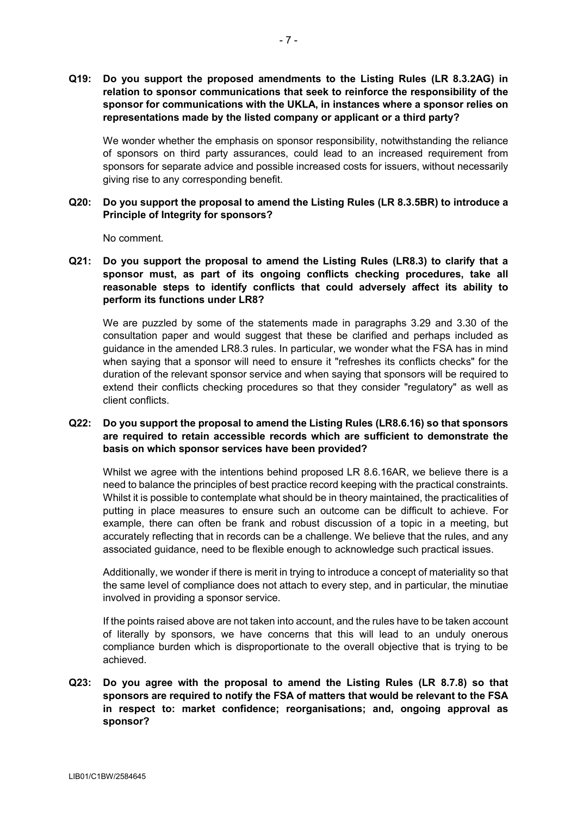**Q19: Do you support the proposed amendments to the Listing Rules (LR 8.3.2AG) in relation to sponsor communications that seek to reinforce the responsibility of the sponsor for communications with the UKLA, in instances where a sponsor relies on representations made by the listed company or applicant or a third party?**

We wonder whether the emphasis on sponsor responsibility, notwithstanding the reliance of sponsors on third party assurances, could lead to an increased requirement from sponsors for separate advice and possible increased costs for issuers, without necessarily giving rise to any corresponding benefit.

### **Q20: Do you support the proposal to amend the Listing Rules (LR 8.3.5BR) to introduce a Principle of Integrity for sponsors?**

No comment.

**Q21: Do you support the proposal to amend the Listing Rules (LR8.3) to clarify that a sponsor must, as part of its ongoing conflicts checking procedures, take all reasonable steps to identify conflicts that could adversely affect its ability to perform its functions under LR8?**

We are puzzled by some of the statements made in paragraphs 3.29 and 3.30 of the consultation paper and would suggest that these be clarified and perhaps included as guidance in the amended LR8.3 rules. In particular, we wonder what the FSA has in mind when saying that a sponsor will need to ensure it "refreshes its conflicts checks" for the duration of the relevant sponsor service and when saying that sponsors will be required to extend their conflicts checking procedures so that they consider "regulatory" as well as client conflicts.

## **Q22: Do you support the proposal to amend the Listing Rules (LR8.6.16) so that sponsors are required to retain accessible records which are sufficient to demonstrate the basis on which sponsor services have been provided?**

Whilst we agree with the intentions behind proposed LR 8.6.16AR, we believe there is a need to balance the principles of best practice record keeping with the practical constraints. Whilst it is possible to contemplate what should be in theory maintained, the practicalities of putting in place measures to ensure such an outcome can be difficult to achieve. For example, there can often be frank and robust discussion of a topic in a meeting, but accurately reflecting that in records can be a challenge. We believe that the rules, and any associated guidance, need to be flexible enough to acknowledge such practical issues.

Additionally, we wonder if there is merit in trying to introduce a concept of materiality so that the same level of compliance does not attach to every step, and in particular, the minutiae involved in providing a sponsor service.

If the points raised above are not taken into account, and the rules have to be taken account of literally by sponsors, we have concerns that this will lead to an unduly onerous compliance burden which is disproportionate to the overall objective that is trying to be achieved.

# **Q23: Do you agree with the proposal to amend the Listing Rules (LR 8.7.8) so that sponsors are required to notify the FSA of matters that would be relevant to the FSA in respect to: market confidence; reorganisations; and, ongoing approval as sponsor?**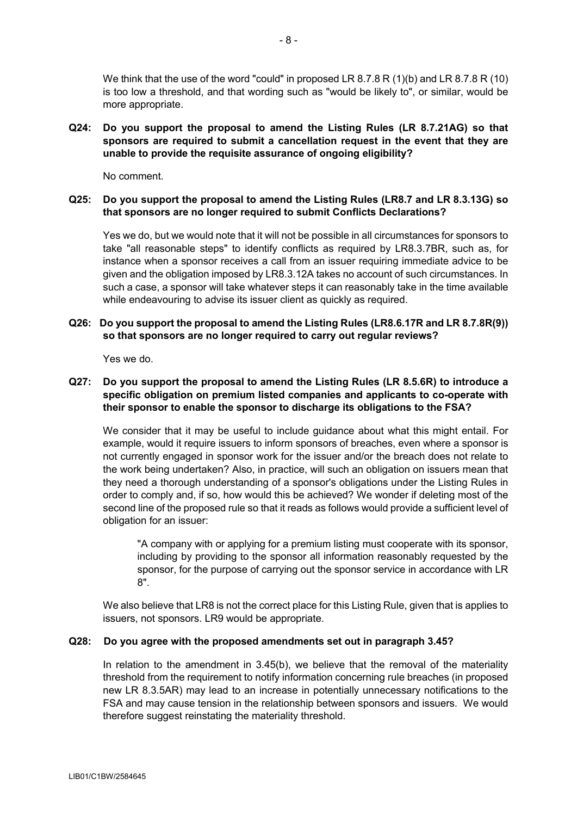We think that the use of the word "could" in proposed LR 8.7.8 R (1)(b) and LR 8.7.8 R (10) is too low a threshold, and that wording such as "would be likely to", or similar, would be more appropriate.

**Q24: Do you support the proposal to amend the Listing Rules (LR 8.7.21AG) so that sponsors are required to submit a cancellation request in the event that they are unable to provide the requisite assurance of ongoing eligibility?**

No comment.

### **Q25: Do you support the proposal to amend the Listing Rules (LR8.7 and LR 8.3.13G) so that sponsors are no longer required to submit Conflicts Declarations?**

Yes we do, but we would note that it will not be possible in all circumstances for sponsors to take "all reasonable steps" to identify conflicts as required by LR8.3.7BR, such as, for instance when a sponsor receives a call from an issuer requiring immediate advice to be given and the obligation imposed by LR8.3.12A takes no account of such circumstances. In such a case, a sponsor will take whatever steps it can reasonably take in the time available while endeavouring to advise its issuer client as quickly as required.

### **Q26: Do you support the proposal to amend the Listing Rules (LR8.6.17R and LR 8.7.8R(9)) so that sponsors are no longer required to carry out regular reviews?**

Yes we do.

## **Q27: Do you support the proposal to amend the Listing Rules (LR 8.5.6R) to introduce a specific obligation on premium listed companies and applicants to co-operate with their sponsor to enable the sponsor to discharge its obligations to the FSA?**

We consider that it may be useful to include guidance about what this might entail. For example, would it require issuers to inform sponsors of breaches, even where a sponsor is not currently engaged in sponsor work for the issuer and/or the breach does not relate to the work being undertaken? Also, in practice, will such an obligation on issuers mean that they need a thorough understanding of a sponsor's obligations under the Listing Rules in order to comply and, if so, how would this be achieved? We wonder if deleting most of the second line of the proposed rule so that it reads as follows would provide a sufficient level of obligation for an issuer:

"A company with or applying for a premium listing must cooperate with its sponsor, including by providing to the sponsor all information reasonably requested by the sponsor, for the purpose of carrying out the sponsor service in accordance with LR 8".

We also believe that LR8 is not the correct place for this Listing Rule, given that is applies to issuers, not sponsors. LR9 would be appropriate.

### **Q28: Do you agree with the proposed amendments set out in paragraph 3.45?**

In relation to the amendment in 3.45(b), we believe that the removal of the materiality threshold from the requirement to notify information concerning rule breaches (in proposed new LR 8.3.5AR) may lead to an increase in potentially unnecessary notifications to the FSA and may cause tension in the relationship between sponsors and issuers. We would therefore suggest reinstating the materiality threshold.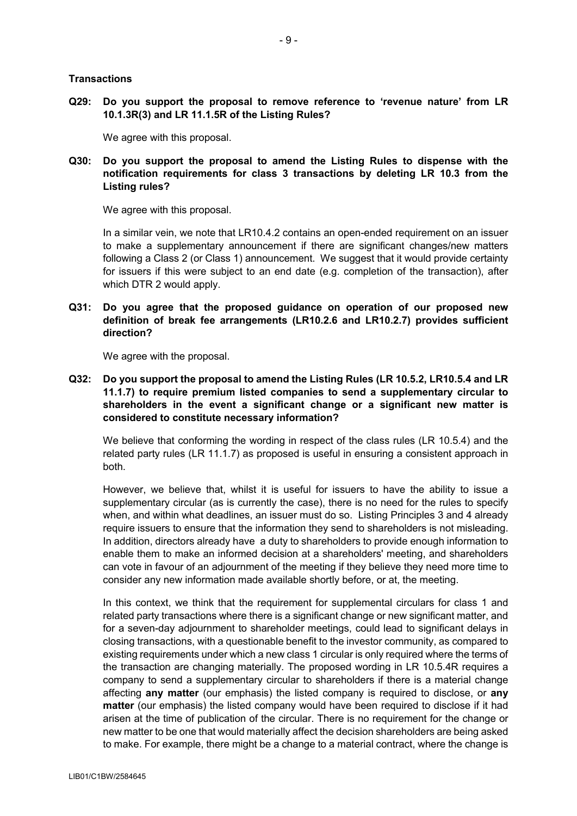#### **Transactions**

**Q29: Do you support the proposal to remove reference to 'revenue nature' from LR 10.1.3R(3) and LR 11.1.5R of the Listing Rules?**

We agree with this proposal.

## **Q30: Do you support the proposal to amend the Listing Rules to dispense with the notification requirements for class 3 transactions by deleting LR 10.3 from the Listing rules?**

We agree with this proposal.

In a similar vein, we note that LR10.4.2 contains an open-ended requirement on an issuer to make a supplementary announcement if there are significant changes/new matters following a Class 2 (or Class 1) announcement. We suggest that it would provide certainty for issuers if this were subject to an end date (e.g. completion of the transaction), after which DTR 2 would apply.

**Q31: Do you agree that the proposed guidance on operation of our proposed new definition of break fee arrangements (LR10.2.6 and LR10.2.7) provides sufficient direction?**

We agree with the proposal.

**Q32: Do you support the proposal to amend the Listing Rules (LR 10.5.2, LR10.5.4 and LR 11.1.7) to require premium listed companies to send a supplementary circular to shareholders in the event a significant change or a significant new matter is considered to constitute necessary information?**

We believe that conforming the wording in respect of the class rules (LR 10.5.4) and the related party rules (LR 11.1.7) as proposed is useful in ensuring a consistent approach in both.

However, we believe that, whilst it is useful for issuers to have the ability to issue a supplementary circular (as is currently the case), there is no need for the rules to specify when, and within what deadlines, an issuer must do so. Listing Principles 3 and 4 already require issuers to ensure that the information they send to shareholders is not misleading. In addition, directors already have a duty to shareholders to provide enough information to enable them to make an informed decision at a shareholders' meeting, and shareholders can vote in favour of an adjournment of the meeting if they believe they need more time to consider any new information made available shortly before, or at, the meeting.

In this context, we think that the requirement for supplemental circulars for class 1 and related party transactions where there is a significant change or new significant matter, and for a seven-day adjournment to shareholder meetings, could lead to significant delays in closing transactions, with a questionable benefit to the investor community, as compared to existing requirements under which a new class 1 circular is only required where the terms of the transaction are changing materially. The proposed wording in LR 10.5.4R requires a company to send a supplementary circular to shareholders if there is a material change affecting **any matter** (our emphasis) the listed company is required to disclose, or **any matter** (our emphasis) the listed company would have been required to disclose if it had arisen at the time of publication of the circular. There is no requirement for the change or new matter to be one that would materially affect the decision shareholders are being asked to make. For example, there might be a change to a material contract, where the change is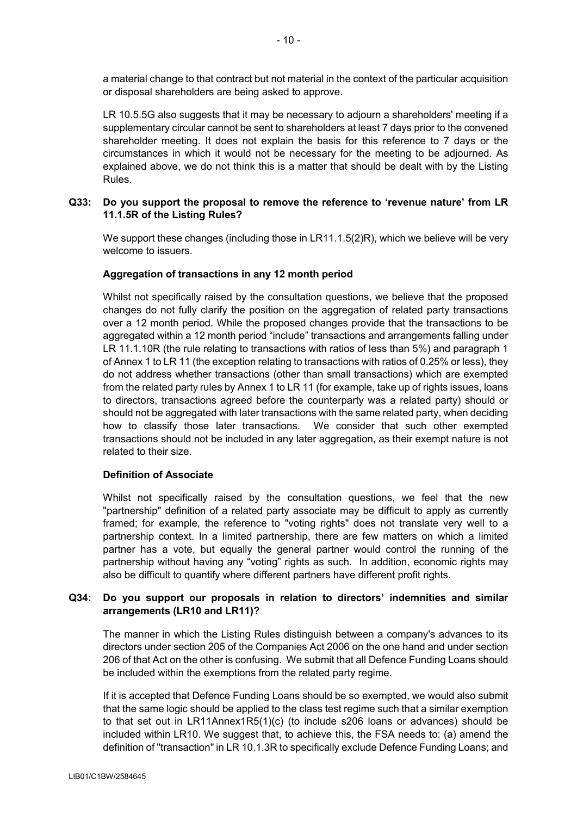a material change to that contract but not material in the context of the particular acquisition or disposal shareholders are being asked to approve.

LR 10.5.5G also suggests that it may be necessary to adjourn a shareholders' meeting if a supplementary circular cannot be sent to shareholders at least 7 days prior to the convened shareholder meeting. It does not explain the basis for this reference to 7 days or the circumstances in which it would not be necessary for the meeting to be adjourned. As explained above, we do not think this is a matter that should be dealt with by the Listing Rules.

### **Q33: Do you support the proposal to remove the reference to 'revenue nature' from LR 11.1.5R of the Listing Rules?**

We support these changes (including those in LR11.1.5(2)R), which we believe will be very welcome to issuers.

### **Aggregation of transactions in any 12 month period**

Whilst not specifically raised by the consultation questions, we believe that the proposed changes do not fully clarify the position on the aggregation of related party transactions over a 12 month period. While the proposed changes provide that the transactions to be aggregated within a 12 month period "include" transactions and arrangements falling under LR 11.1.10R (the rule relating to transactions with ratios of less than 5%) and paragraph 1 of Annex 1 to LR 11 (the exception relating to transactions with ratios of 0.25% or less), they do not address whether transactions (other than small transactions) which are exempted from the related party rules by Annex 1 to LR 11 (for example, take up of rights issues, loans to directors, transactions agreed before the counterparty was a related party) should or should not be aggregated with later transactions with the same related party, when deciding how to classify those later transactions. We consider that such other exempted transactions should not be included in any later aggregation, as their exempt nature is not related to their size.

### **Definition of Associate**

Whilst not specifically raised by the consultation questions, we feel that the new "partnership" definition of a related party associate may be difficult to apply as currently framed; for example, the reference to "voting rights" does not translate very well to a partnership context. In a limited partnership, there are few matters on which a limited partner has a vote, but equally the general partner would control the running of the partnership without having any "voting" rights as such. In addition, economic rights may also be difficult to quantify where different partners have different profit rights.

# **Q34: Do you support our proposals in relation to directors' indemnities and similar arrangements (LR10 and LR11)?**

The manner in which the Listing Rules distinguish between a company's advances to its directors under section 205 of the Companies Act 2006 on the one hand and under section 206 of that Act on the other is confusing. We submit that all Defence Funding Loans should be included within the exemptions from the related party regime.

If it is accepted that Defence Funding Loans should be so exempted, we would also submit that the same logic should be applied to the class test regime such that a similar exemption to that set out in LR11Annex1R5(1)(c) (to include s206 loans or advances) should be included within LR10. We suggest that, to achieve this, the FSA needs to: (a) amend the definition of "transaction" in LR 10.1.3R to specifically exclude Defence Funding Loans; and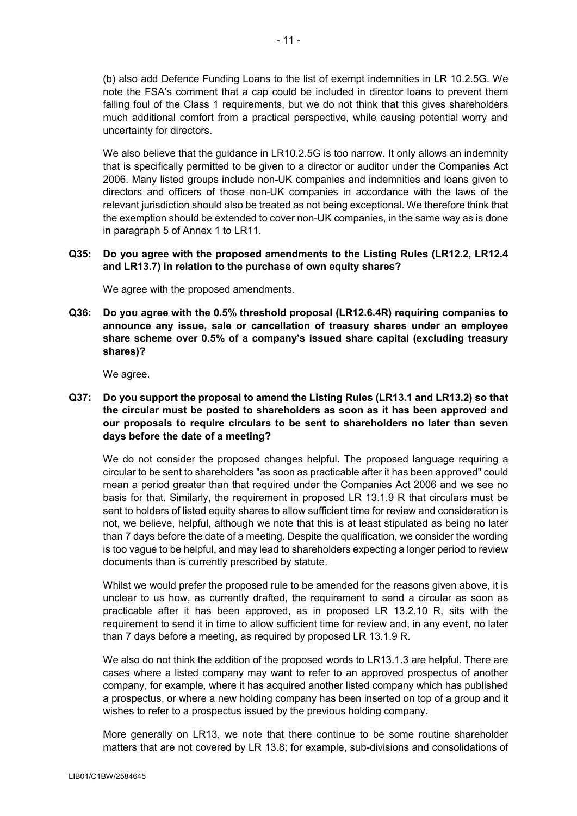(b) also add Defence Funding Loans to the list of exempt indemnities in LR 10.2.5G. We note the FSA's comment that a cap could be included in director loans to prevent them falling foul of the Class 1 requirements, but we do not think that this gives shareholders much additional comfort from a practical perspective, while causing potential worry and uncertainty for directors.

We also believe that the guidance in LR10.2.5G is too narrow. It only allows an indemnity that is specifically permitted to be given to a director or auditor under the Companies Act 2006. Many listed groups include non-UK companies and indemnities and loans given to directors and officers of those non-UK companies in accordance with the laws of the relevant jurisdiction should also be treated as not being exceptional. We therefore think that the exemption should be extended to cover non-UK companies, in the same way as is done in paragraph 5 of Annex 1 to LR11.

### **Q35: Do you agree with the proposed amendments to the Listing Rules (LR12.2, LR12.4 and LR13.7) in relation to the purchase of own equity shares?**

We agree with the proposed amendments.

**Q36: Do you agree with the 0.5% threshold proposal (LR12.6.4R) requiring companies to announce any issue, sale or cancellation of treasury shares under an employee share scheme over 0.5% of a company's issued share capital (excluding treasury shares)?**

We agree.

**Q37: Do you support the proposal to amend the Listing Rules (LR13.1 and LR13.2) so that the circular must be posted to shareholders as soon as it has been approved and our proposals to require circulars to be sent to shareholders no later than seven days before the date of a meeting?**

We do not consider the proposed changes helpful. The proposed language requiring a circular to be sent to shareholders "as soon as practicable after it has been approved" could mean a period greater than that required under the Companies Act 2006 and we see no basis for that. Similarly, the requirement in proposed LR 13.1.9 R that circulars must be sent to holders of listed equity shares to allow sufficient time for review and consideration is not, we believe, helpful, although we note that this is at least stipulated as being no later than 7 days before the date of a meeting. Despite the qualification, we consider the wording is too vague to be helpful, and may lead to shareholders expecting a longer period to review documents than is currently prescribed by statute.

Whilst we would prefer the proposed rule to be amended for the reasons given above, it is unclear to us how, as currently drafted, the requirement to send a circular as soon as practicable after it has been approved, as in proposed LR 13.2.10 R, sits with the requirement to send it in time to allow sufficient time for review and, in any event, no later than 7 days before a meeting, as required by proposed LR 13.1.9 R.

We also do not think the addition of the proposed words to LR13.1.3 are helpful. There are cases where a listed company may want to refer to an approved prospectus of another company, for example, where it has acquired another listed company which has published a prospectus, or where a new holding company has been inserted on top of a group and it wishes to refer to a prospectus issued by the previous holding company.

More generally on LR13, we note that there continue to be some routine shareholder matters that are not covered by LR 13.8; for example, sub-divisions and consolidations of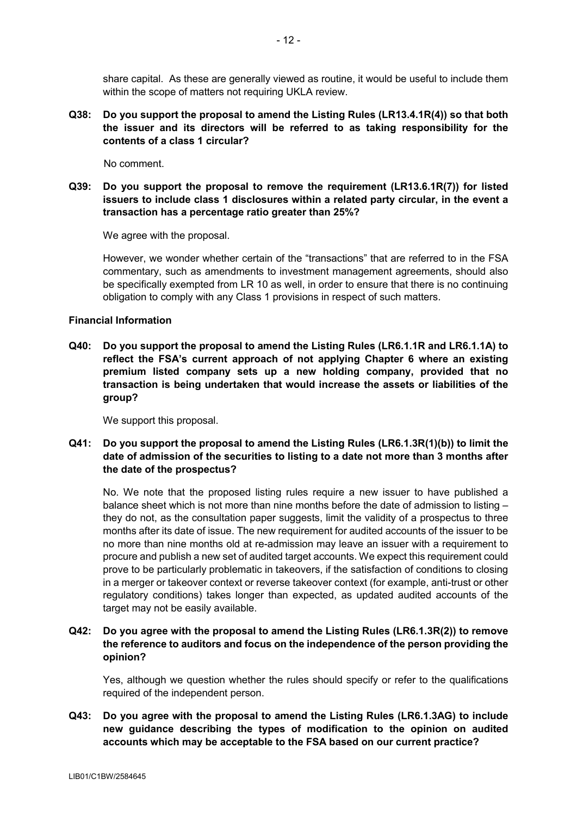share capital. As these are generally viewed as routine, it would be useful to include them within the scope of matters not requiring UKLA review.

**Q38: Do you support the proposal to amend the Listing Rules (LR13.4.1R(4)) so that both the issuer and its directors will be referred to as taking responsibility for the contents of a class 1 circular?**

No comment.

**Q39: Do you support the proposal to remove the requirement (LR13.6.1R(7)) for listed issuers to include class 1 disclosures within a related party circular, in the event a transaction has a percentage ratio greater than 25%?**

We agree with the proposal.

However, we wonder whether certain of the "transactions" that are referred to in the FSA commentary, such as amendments to investment management agreements, should also be specifically exempted from LR 10 as well, in order to ensure that there is no continuing obligation to comply with any Class 1 provisions in respect of such matters.

#### **Financial Information**

**Q40: Do you support the proposal to amend the Listing Rules (LR6.1.1R and LR6.1.1A) to reflect the FSA's current approach of not applying Chapter 6 where an existing premium listed company sets up a new holding company, provided that no transaction is being undertaken that would increase the assets or liabilities of the group?**

We support this proposal.

**Q41: Do you support the proposal to amend the Listing Rules (LR6.1.3R(1)(b)) to limit the date of admission of the securities to listing to a date not more than 3 months after the date of the prospectus?**

No. We note that the proposed listing rules require a new issuer to have published a balance sheet which is not more than nine months before the date of admission to listing – they do not, as the consultation paper suggests, limit the validity of a prospectus to three months after its date of issue. The new requirement for audited accounts of the issuer to be no more than nine months old at re-admission may leave an issuer with a requirement to procure and publish a new set of audited target accounts. We expect this requirement could prove to be particularly problematic in takeovers, if the satisfaction of conditions to closing in a merger or takeover context or reverse takeover context (for example, anti-trust or other regulatory conditions) takes longer than expected, as updated audited accounts of the target may not be easily available.

### **Q42: Do you agree with the proposal to amend the Listing Rules (LR6.1.3R(2)) to remove the reference to auditors and focus on the independence of the person providing the opinion?**

Yes, although we question whether the rules should specify or refer to the qualifications required of the independent person.

# **Q43: Do you agree with the proposal to amend the Listing Rules (LR6.1.3AG) to include new guidance describing the types of modification to the opinion on audited accounts which may be acceptable to the FSA based on our current practice?**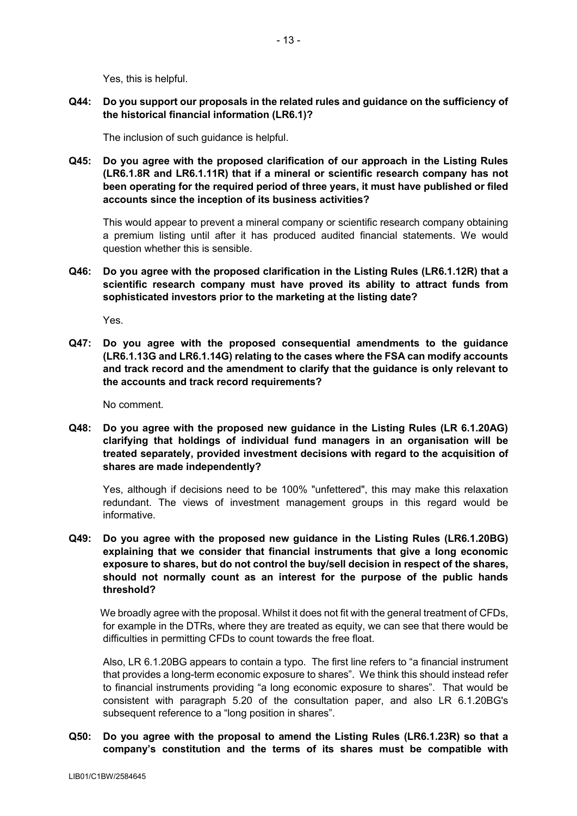Yes, this is helpful.

**Q44: Do you support our proposals in the related rules and guidance on the sufficiency of the historical financial information (LR6.1)?**

The inclusion of such guidance is helpful.

**Q45: Do you agree with the proposed clarification of our approach in the Listing Rules (LR6.1.8R and LR6.1.11R) that if a mineral or scientific research company has not been operating for the required period of three years, it must have published or filed accounts since the inception of its business activities?**

This would appear to prevent a mineral company or scientific research company obtaining a premium listing until after it has produced audited financial statements. We would question whether this is sensible.

**Q46: Do you agree with the proposed clarification in the Listing Rules (LR6.1.12R) that a scientific research company must have proved its ability to attract funds from sophisticated investors prior to the marketing at the listing date?**

Yes.

**Q47: Do you agree with the proposed consequential amendments to the guidance (LR6.1.13G and LR6.1.14G) relating to the cases where the FSA can modify accounts and track record and the amendment to clarify that the guidance is only relevant to the accounts and track record requirements?**

No comment.

**Q48: Do you agree with the proposed new guidance in the Listing Rules (LR 6.1.20AG) clarifying that holdings of individual fund managers in an organisation will be treated separately, provided investment decisions with regard to the acquisition of shares are made independently?**

Yes, although if decisions need to be 100% "unfettered", this may make this relaxation redundant. The views of investment management groups in this regard would be informative.

**Q49: Do you agree with the proposed new guidance in the Listing Rules (LR6.1.20BG) explaining that we consider that financial instruments that give a long economic exposure to shares, but do not control the buy/sell decision in respect of the shares, should not normally count as an interest for the purpose of the public hands threshold?**

We broadly agree with the proposal. Whilst it does not fit with the general treatment of CFDs, for example in the DTRs, where they are treated as equity, we can see that there would be difficulties in permitting CFDs to count towards the free float.

Also, LR 6.1.20BG appears to contain a typo. The first line refers to "a financial instrument that provides a long-term economic exposure to shares". We think this should instead refer to financial instruments providing "a long economic exposure to shares". That would be consistent with paragraph 5.20 of the consultation paper, and also LR 6.1.20BG's subsequent reference to a "long position in shares".

## **Q50: Do you agree with the proposal to amend the Listing Rules (LR6.1.23R) so that a company's constitution and the terms of its shares must be compatible with**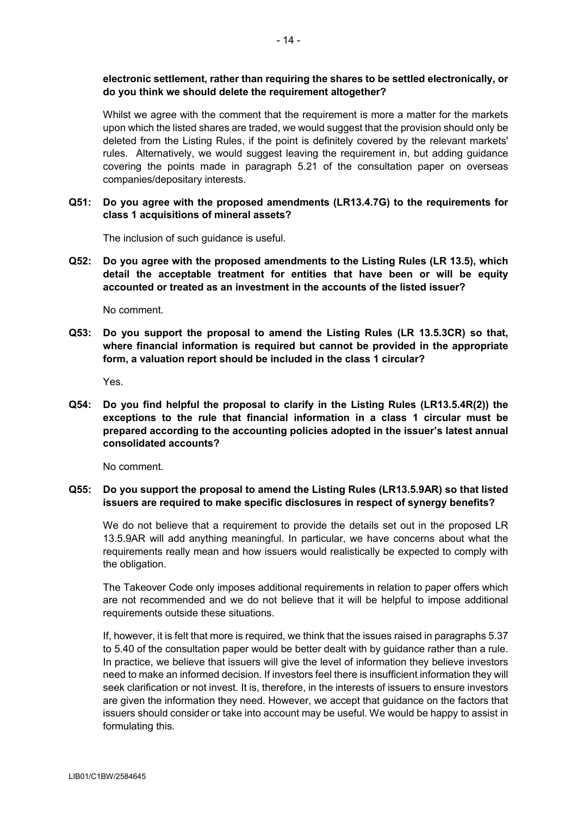## **electronic settlement, rather than requiring the shares to be settled electronically, or do you think we should delete the requirement altogether?**

Whilst we agree with the comment that the requirement is more a matter for the markets upon which the listed shares are traded, we would suggest that the provision should only be deleted from the Listing Rules, if the point is definitely covered by the relevant markets' rules. Alternatively, we would suggest leaving the requirement in, but adding guidance covering the points made in paragraph 5.21 of the consultation paper on overseas companies/depositary interests.

**Q51: Do you agree with the proposed amendments (LR13.4.7G) to the requirements for class 1 acquisitions of mineral assets?**

The inclusion of such guidance is useful.

**Q52: Do you agree with the proposed amendments to the Listing Rules (LR 13.5), which detail the acceptable treatment for entities that have been or will be equity accounted or treated as an investment in the accounts of the listed issuer?**

No comment.

**Q53: Do you support the proposal to amend the Listing Rules (LR 13.5.3CR) so that, where financial information is required but cannot be provided in the appropriate form, a valuation report should be included in the class 1 circular?**

Yes.

**Q54: Do you find helpful the proposal to clarify in the Listing Rules (LR13.5.4R(2)) the exceptions to the rule that financial information in a class 1 circular must be prepared according to the accounting policies adopted in the issuer's latest annual consolidated accounts?**

No comment.

### **Q55: Do you support the proposal to amend the Listing Rules (LR13.5.9AR) so that listed issuers are required to make specific disclosures in respect of synergy benefits?**

We do not believe that a requirement to provide the details set out in the proposed LR 13.5.9AR will add anything meaningful. In particular, we have concerns about what the requirements really mean and how issuers would realistically be expected to comply with the obligation.

The Takeover Code only imposes additional requirements in relation to paper offers which are not recommended and we do not believe that it will be helpful to impose additional requirements outside these situations.

If, however, it is felt that more is required, we think that the issues raised in paragraphs 5.37 to 5.40 of the consultation paper would be better dealt with by guidance rather than a rule. In practice, we believe that issuers will give the level of information they believe investors need to make an informed decision. If investors feel there is insufficient information they will seek clarification or not invest. It is, therefore, in the interests of issuers to ensure investors are given the information they need. However, we accept that guidance on the factors that issuers should consider or take into account may be useful. We would be happy to assist in formulating this.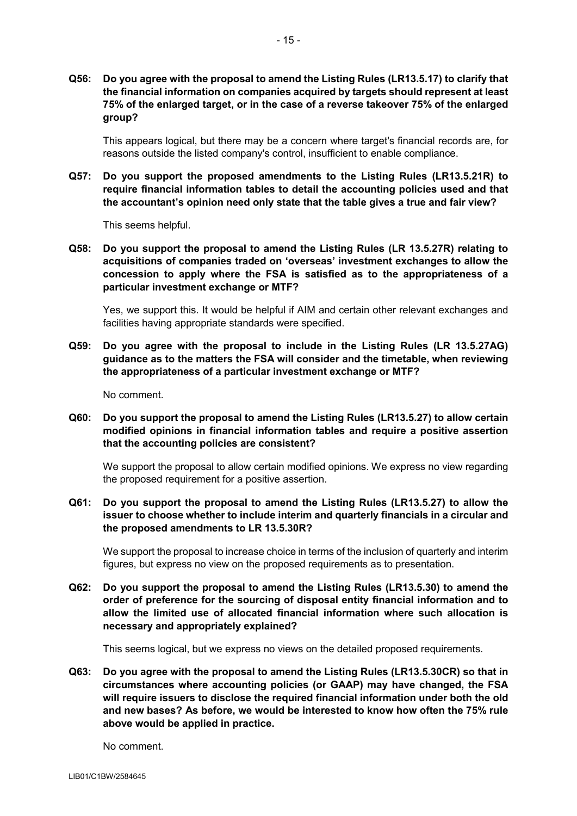**Q56: Do you agree with the proposal to amend the Listing Rules (LR13.5.17) to clarify that the financial information on companies acquired by targets should represent at least 75% of the enlarged target, or in the case of a reverse takeover 75% of the enlarged group?**

This appears logical, but there may be a concern where target's financial records are, for reasons outside the listed company's control, insufficient to enable compliance.

**Q57: Do you support the proposed amendments to the Listing Rules (LR13.5.21R) to require financial information tables to detail the accounting policies used and that the accountant's opinion need only state that the table gives a true and fair view?**

This seems helpful.

**Q58: Do you support the proposal to amend the Listing Rules (LR 13.5.27R) relating to acquisitions of companies traded on 'overseas' investment exchanges to allow the concession to apply where the FSA is satisfied as to the appropriateness of a particular investment exchange or MTF?**

Yes, we support this. It would be helpful if AIM and certain other relevant exchanges and facilities having appropriate standards were specified.

**Q59: Do you agree with the proposal to include in the Listing Rules (LR 13.5.27AG) guidance as to the matters the FSA will consider and the timetable, when reviewing the appropriateness of a particular investment exchange or MTF?**

No comment.

**Q60: Do you support the proposal to amend the Listing Rules (LR13.5.27) to allow certain modified opinions in financial information tables and require a positive assertion that the accounting policies are consistent?**

We support the proposal to allow certain modified opinions. We express no view regarding the proposed requirement for a positive assertion.

**Q61: Do you support the proposal to amend the Listing Rules (LR13.5.27) to allow the issuer to choose whether to include interim and quarterly financials in a circular and the proposed amendments to LR 13.5.30R?**

We support the proposal to increase choice in terms of the inclusion of quarterly and interim figures, but express no view on the proposed requirements as to presentation.

**Q62: Do you support the proposal to amend the Listing Rules (LR13.5.30) to amend the order of preference for the sourcing of disposal entity financial information and to allow the limited use of allocated financial information where such allocation is necessary and appropriately explained?**

This seems logical, but we express no views on the detailed proposed requirements.

**Q63: Do you agree with the proposal to amend the Listing Rules (LR13.5.30CR) so that in circumstances where accounting policies (or GAAP) may have changed, the FSA will require issuers to disclose the required financial information under both the old and new bases? As before, we would be interested to know how often the 75% rule above would be applied in practice.**

No comment.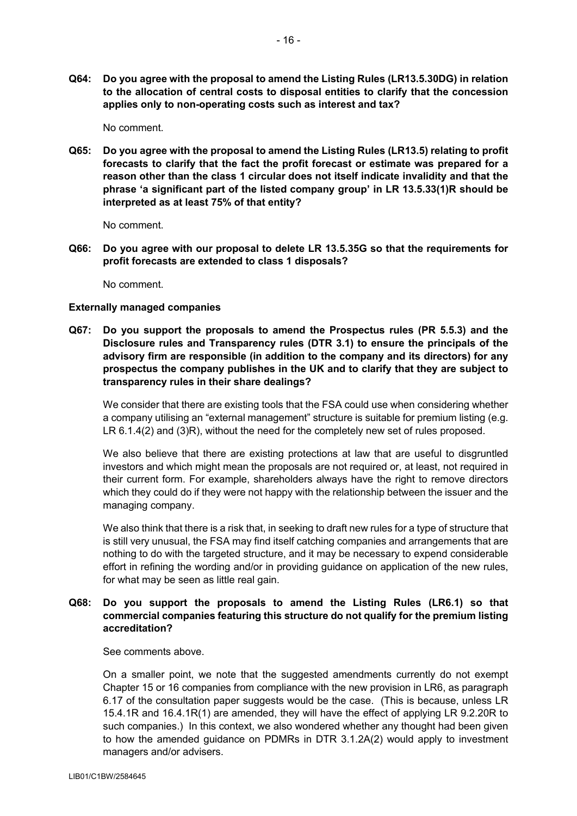**Q64: Do you agree with the proposal to amend the Listing Rules (LR13.5.30DG) in relation to the allocation of central costs to disposal entities to clarify that the concession applies only to non-operating costs such as interest and tax?**

No comment.

**Q65: Do you agree with the proposal to amend the Listing Rules (LR13.5) relating to profit forecasts to clarify that the fact the profit forecast or estimate was prepared for a reason other than the class 1 circular does not itself indicate invalidity and that the phrase 'a significant part of the listed company group' in LR 13.5.33(1)R should be interpreted as at least 75% of that entity?**

No comment.

**Q66: Do you agree with our proposal to delete LR 13.5.35G so that the requirements for profit forecasts are extended to class 1 disposals?**

No comment.

#### **Externally managed companies**

**Q67: Do you support the proposals to amend the Prospectus rules (PR 5.5.3) and the Disclosure rules and Transparency rules (DTR 3.1) to ensure the principals of the advisory firm are responsible (in addition to the company and its directors) for any prospectus the company publishes in the UK and to clarify that they are subject to transparency rules in their share dealings?**

We consider that there are existing tools that the FSA could use when considering whether a company utilising an "external management" structure is suitable for premium listing (e.g. LR 6.1.4(2) and (3)R), without the need for the completely new set of rules proposed.

We also believe that there are existing protections at law that are useful to disgruntled investors and which might mean the proposals are not required or, at least, not required in their current form. For example, shareholders always have the right to remove directors which they could do if they were not happy with the relationship between the issuer and the managing company.

We also think that there is a risk that, in seeking to draft new rules for a type of structure that is still very unusual, the FSA may find itself catching companies and arrangements that are nothing to do with the targeted structure, and it may be necessary to expend considerable effort in refining the wording and/or in providing guidance on application of the new rules, for what may be seen as little real gain.

## **Q68: Do you support the proposals to amend the Listing Rules (LR6.1) so that commercial companies featuring this structure do not qualify for the premium listing accreditation?**

See comments above.

On a smaller point, we note that the suggested amendments currently do not exempt Chapter 15 or 16 companies from compliance with the new provision in LR6, as paragraph 6.17 of the consultation paper suggests would be the case. (This is because, unless LR 15.4.1R and 16.4.1R(1) are amended, they will have the effect of applying LR 9.2.20R to such companies.) In this context, we also wondered whether any thought had been given to how the amended guidance on PDMRs in DTR 3.1.2A(2) would apply to investment managers and/or advisers.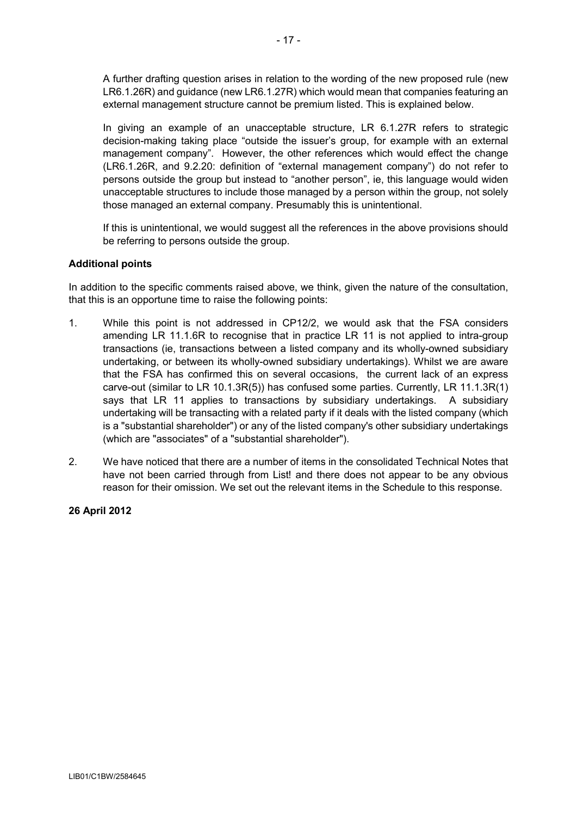A further drafting question arises in relation to the wording of the new proposed rule (new LR6.1.26R) and guidance (new LR6.1.27R) which would mean that companies featuring an external management structure cannot be premium listed. This is explained below.

In giving an example of an unacceptable structure, LR 6.1.27R refers to strategic decision-making taking place "outside the issuer's group, for example with an external management company". However, the other references which would effect the change (LR6.1.26R, and 9.2.20: definition of "external management company") do not refer to persons outside the group but instead to "another person", ie, this language would widen unacceptable structures to include those managed by a person within the group, not solely those managed an external company. Presumably this is unintentional.

If this is unintentional, we would suggest all the references in the above provisions should be referring to persons outside the group.

### **Additional points**

In addition to the specific comments raised above, we think, given the nature of the consultation, that this is an opportune time to raise the following points:

- 1. While this point is not addressed in CP12/2, we would ask that the FSA considers amending LR 11.1.6R to recognise that in practice LR 11 is not applied to intra-group transactions (ie, transactions between a listed company and its wholly-owned subsidiary undertaking, or between its wholly-owned subsidiary undertakings). Whilst we are aware that the FSA has confirmed this on several occasions, the current lack of an express carve-out (similar to LR 10.1.3R(5)) has confused some parties. Currently, LR 11.1.3R(1) says that LR 11 applies to transactions by subsidiary undertakings. A subsidiary undertaking will be transacting with a related party if it deals with the listed company (which is a "substantial shareholder") or any of the listed company's other subsidiary undertakings (which are "associates" of a "substantial shareholder").
- 2. We have noticed that there are a number of items in the consolidated Technical Notes that have not been carried through from List! and there does not appear to be any obvious reason for their omission. We set out the relevant items in the Schedule to this response.

# **26 April 2012**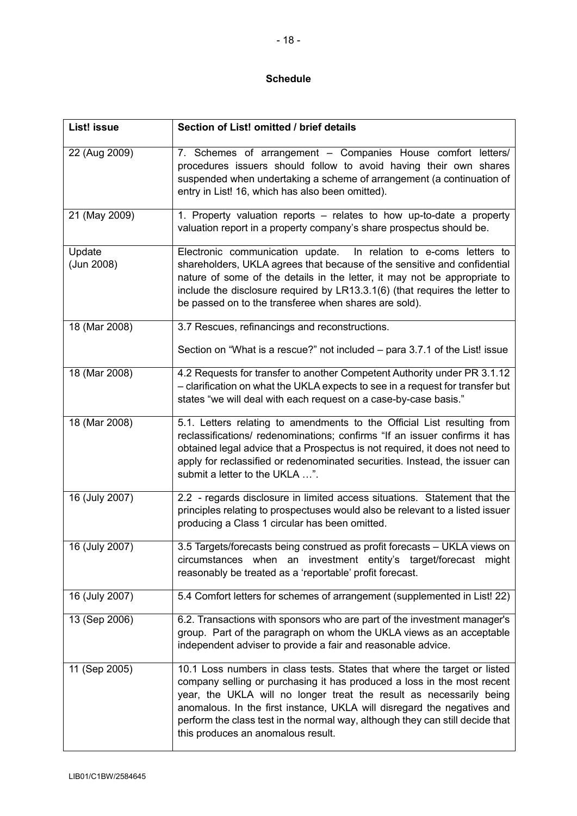# **Schedule**

| List! issue          | Section of List! omitted / brief details                                                                                                                                                                                                                                                                                                                                                                                     |
|----------------------|------------------------------------------------------------------------------------------------------------------------------------------------------------------------------------------------------------------------------------------------------------------------------------------------------------------------------------------------------------------------------------------------------------------------------|
| 22 (Aug 2009)        | 7. Schemes of arrangement - Companies House comfort letters/<br>procedures issuers should follow to avoid having their own shares<br>suspended when undertaking a scheme of arrangement (a continuation of<br>entry in List! 16, which has also been omitted).                                                                                                                                                               |
| 21 (May 2009)        | 1. Property valuation reports - relates to how up-to-date a property<br>valuation report in a property company's share prospectus should be.                                                                                                                                                                                                                                                                                 |
| Update<br>(Jun 2008) | Electronic communication update.<br>In relation to e-coms letters to<br>shareholders, UKLA agrees that because of the sensitive and confidential<br>nature of some of the details in the letter, it may not be appropriate to<br>include the disclosure required by LR13.3.1(6) (that requires the letter to<br>be passed on to the transferee when shares are sold).                                                        |
| 18 (Mar 2008)        | 3.7 Rescues, refinancings and reconstructions.                                                                                                                                                                                                                                                                                                                                                                               |
|                      | Section on "What is a rescue?" not included – para 3.7.1 of the List! issue                                                                                                                                                                                                                                                                                                                                                  |
| 18 (Mar 2008)        | 4.2 Requests for transfer to another Competent Authority under PR 3.1.12<br>- clarification on what the UKLA expects to see in a request for transfer but<br>states "we will deal with each request on a case-by-case basis."                                                                                                                                                                                                |
| 18 (Mar 2008)        | 5.1. Letters relating to amendments to the Official List resulting from<br>reclassifications/ redenominations; confirms "If an issuer confirms it has<br>obtained legal advice that a Prospectus is not required, it does not need to<br>apply for reclassified or redenominated securities. Instead, the issuer can<br>submit a letter to the UKLA ".                                                                       |
| 16 (July 2007)       | 2.2 - regards disclosure in limited access situations. Statement that the<br>principles relating to prospectuses would also be relevant to a listed issuer<br>producing a Class 1 circular has been omitted.                                                                                                                                                                                                                 |
| 16 (July 2007)       | 3.5 Targets/forecasts being construed as profit forecasts - UKLA views on<br>circumstances when an investment entity's target/forecast might<br>reasonably be treated as a 'reportable' profit forecast.                                                                                                                                                                                                                     |
| 16 (July 2007)       | 5.4 Comfort letters for schemes of arrangement (supplemented in List! 22)                                                                                                                                                                                                                                                                                                                                                    |
| 13 (Sep 2006)        | 6.2. Transactions with sponsors who are part of the investment manager's<br>group. Part of the paragraph on whom the UKLA views as an acceptable<br>independent adviser to provide a fair and reasonable advice.                                                                                                                                                                                                             |
| 11 (Sep 2005)        | 10.1 Loss numbers in class tests. States that where the target or listed<br>company selling or purchasing it has produced a loss in the most recent<br>year, the UKLA will no longer treat the result as necessarily being<br>anomalous. In the first instance, UKLA will disregard the negatives and<br>perform the class test in the normal way, although they can still decide that<br>this produces an anomalous result. |

 $\mathsf{l}$